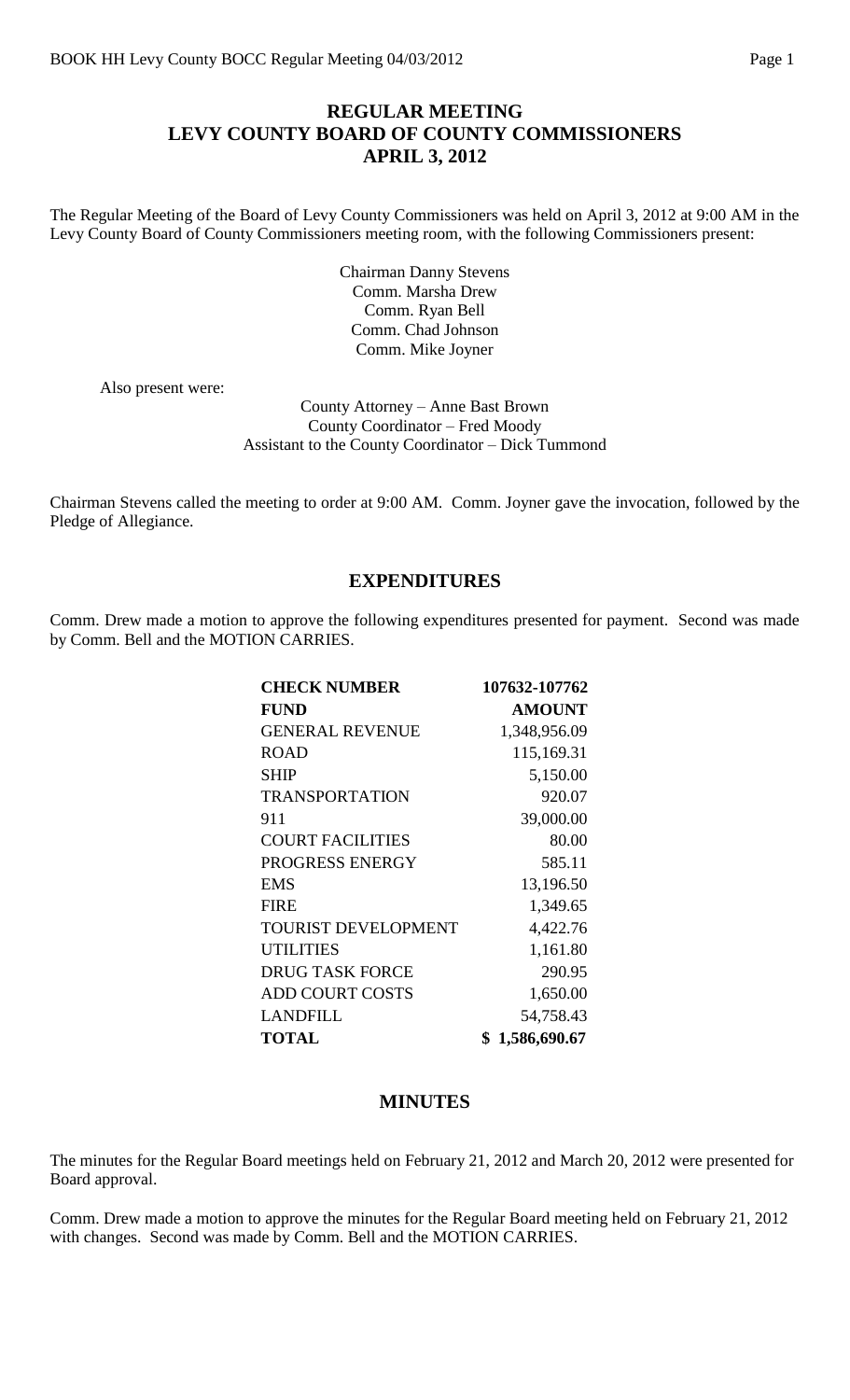#### **REGULAR MEETING LEVY COUNTY BOARD OF COUNTY COMMISSIONERS APRIL 3, 2012**

The Regular Meeting of the Board of Levy County Commissioners was held on April 3, 2012 at 9:00 AM in the Levy County Board of County Commissioners meeting room, with the following Commissioners present:

> Chairman Danny Stevens Comm. Marsha Drew Comm. Ryan Bell Comm. Chad Johnson Comm. Mike Joyner

Also present were:

County Attorney – Anne Bast Brown County Coordinator – Fred Moody Assistant to the County Coordinator – Dick Tummond

Chairman Stevens called the meeting to order at 9:00 AM. Comm. Joyner gave the invocation, followed by the Pledge of Allegiance.

#### **EXPENDITURES**

Comm. Drew made a motion to approve the following expenditures presented for payment. Second was made by Comm. Bell and the MOTION CARRIES.

| <b>CHECK NUMBER</b>        | 107632-107762      |
|----------------------------|--------------------|
| <b>FUND</b>                | <b>AMOUNT</b>      |
| <b>GENERAL REVENUE</b>     | 1,348,956.09       |
| <b>ROAD</b>                | 115,169.31         |
| <b>SHIP</b>                | 5,150.00           |
| <b>TRANSPORTATION</b>      | 920.07             |
| 911                        | 39,000.00          |
| <b>COURT FACILITIES</b>    | 80.00              |
| PROGRESS ENERGY            | 585.11             |
| <b>EMS</b>                 | 13,196.50          |
| <b>FIRE</b>                | 1,349.65           |
| <b>TOURIST DEVELOPMENT</b> | 4,422.76           |
| <b>UTILITIES</b>           | 1,161.80           |
| <b>DRUG TASK FORCE</b>     | 290.95             |
| <b>ADD COURT COSTS</b>     | 1,650.00           |
| <b>LANDFILL</b>            | 54,758.43          |
| <b>TOTAL</b>               | 1,586,690.67<br>\$ |

#### **MINUTES**

The minutes for the Regular Board meetings held on February 21, 2012 and March 20, 2012 were presented for Board approval.

Comm. Drew made a motion to approve the minutes for the Regular Board meeting held on February 21, 2012 with changes. Second was made by Comm. Bell and the MOTION CARRIES.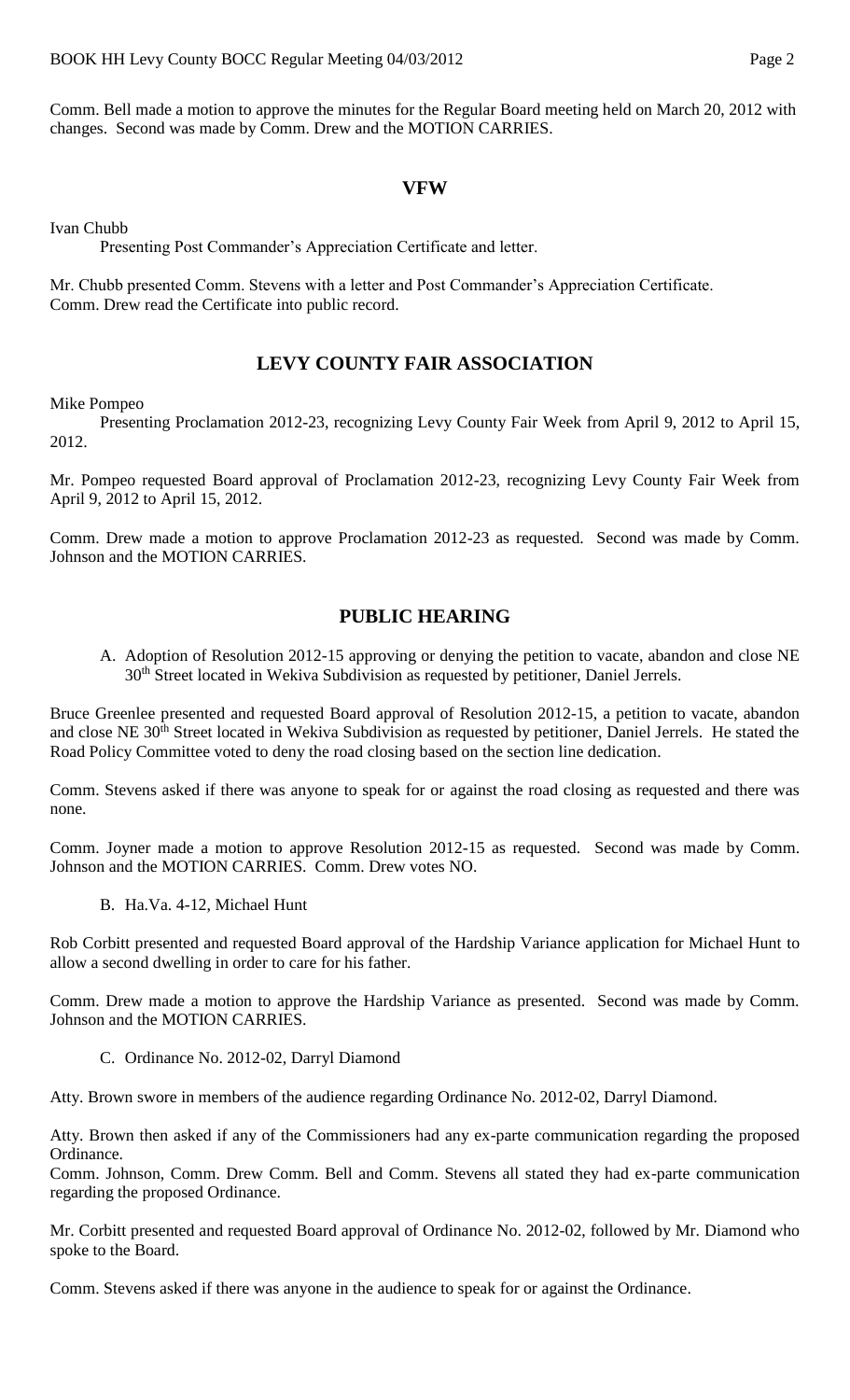Comm. Bell made a motion to approve the minutes for the Regular Board meeting held on March 20, 2012 with changes. Second was made by Comm. Drew and the MOTION CARRIES.

#### **VFW**

Ivan Chubb

Presenting Post Commander's Appreciation Certificate and letter.

Mr. Chubb presented Comm. Stevens with a letter and Post Commander's Appreciation Certificate. Comm. Drew read the Certificate into public record.

## **LEVY COUNTY FAIR ASSOCIATION**

Mike Pompeo

Presenting Proclamation 2012-23, recognizing Levy County Fair Week from April 9, 2012 to April 15, 2012.

Mr. Pompeo requested Board approval of Proclamation 2012-23, recognizing Levy County Fair Week from April 9, 2012 to April 15, 2012.

Comm. Drew made a motion to approve Proclamation 2012-23 as requested. Second was made by Comm. Johnson and the MOTION CARRIES.

#### **PUBLIC HEARING**

A. Adoption of Resolution 2012-15 approving or denying the petition to vacate, abandon and close NE 30<sup>th</sup> Street located in Wekiva Subdivision as requested by petitioner, Daniel Jerrels.

Bruce Greenlee presented and requested Board approval of Resolution 2012-15, a petition to vacate, abandon and close NE 30<sup>th</sup> Street located in Wekiva Subdivision as requested by petitioner, Daniel Jerrels. He stated the Road Policy Committee voted to deny the road closing based on the section line dedication.

Comm. Stevens asked if there was anyone to speak for or against the road closing as requested and there was none.

Comm. Joyner made a motion to approve Resolution 2012-15 as requested. Second was made by Comm. Johnson and the MOTION CARRIES. Comm. Drew votes NO.

B. Ha.Va. 4-12, Michael Hunt

Rob Corbitt presented and requested Board approval of the Hardship Variance application for Michael Hunt to allow a second dwelling in order to care for his father.

Comm. Drew made a motion to approve the Hardship Variance as presented. Second was made by Comm. Johnson and the MOTION CARRIES.

C. Ordinance No. 2012-02, Darryl Diamond

Atty. Brown swore in members of the audience regarding Ordinance No. 2012-02, Darryl Diamond.

Atty. Brown then asked if any of the Commissioners had any ex-parte communication regarding the proposed Ordinance.

Comm. Johnson, Comm. Drew Comm. Bell and Comm. Stevens all stated they had ex-parte communication regarding the proposed Ordinance.

Mr. Corbitt presented and requested Board approval of Ordinance No. 2012-02, followed by Mr. Diamond who spoke to the Board.

Comm. Stevens asked if there was anyone in the audience to speak for or against the Ordinance.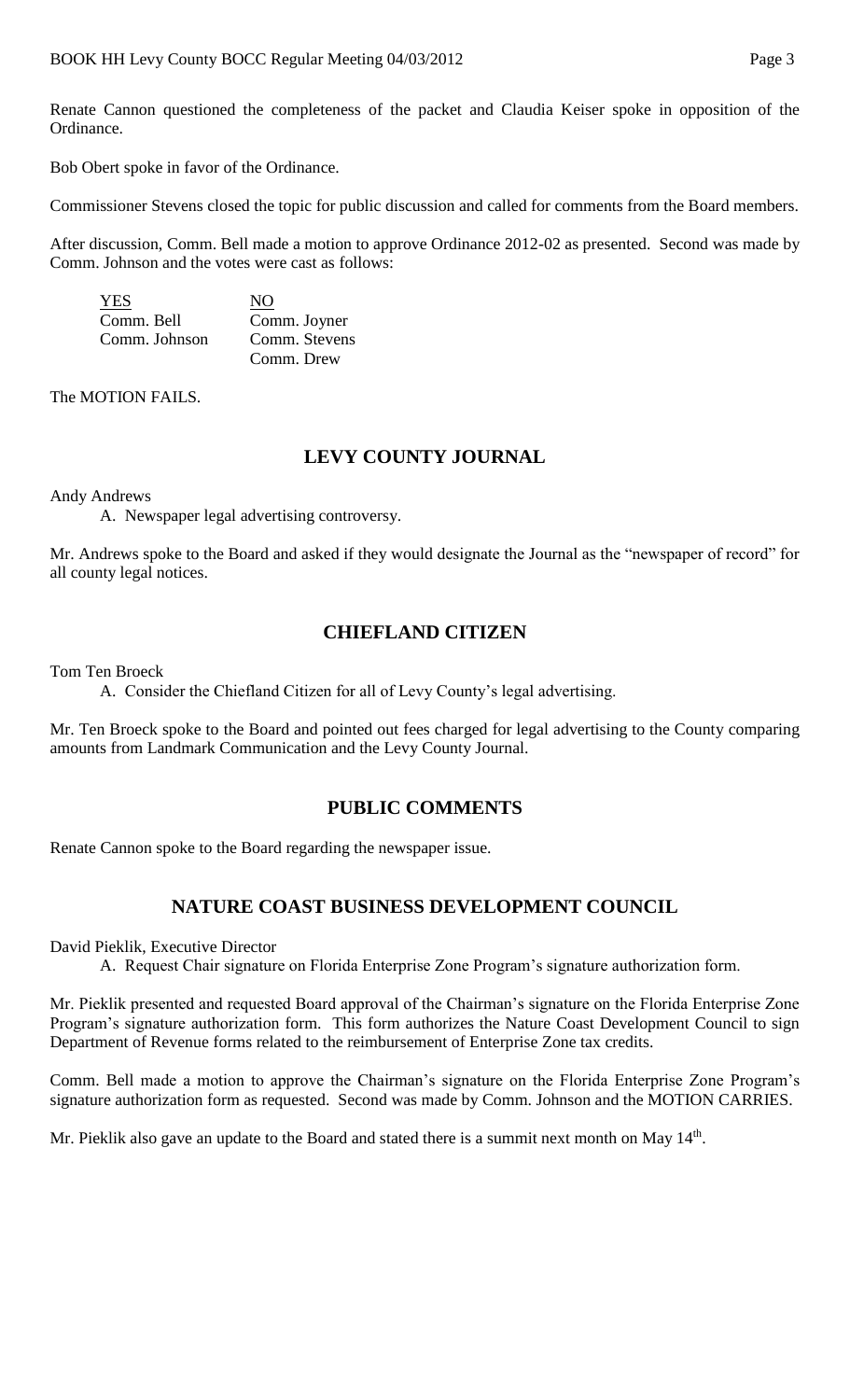Renate Cannon questioned the completeness of the packet and Claudia Keiser spoke in opposition of the Ordinance.

Bob Obert spoke in favor of the Ordinance.

Commissioner Stevens closed the topic for public discussion and called for comments from the Board members.

After discussion, Comm. Bell made a motion to approve Ordinance 2012-02 as presented. Second was made by Comm. Johnson and the votes were cast as follows:

| YES           | NO            |
|---------------|---------------|
| Comm. Bell    | Comm. Joyner  |
| Comm. Johnson | Comm. Stevens |
|               | Comm. Drew    |

The MOTION FAILS.

# **LEVY COUNTY JOURNAL**

Andy Andrews

A. Newspaper legal advertising controversy.

Mr. Andrews spoke to the Board and asked if they would designate the Journal as the "newspaper of record" for all county legal notices.

## **CHIEFLAND CITIZEN**

Tom Ten Broeck

A. Consider the Chiefland Citizen for all of Levy County's legal advertising.

Mr. Ten Broeck spoke to the Board and pointed out fees charged for legal advertising to the County comparing amounts from Landmark Communication and the Levy County Journal.

## **PUBLIC COMMENTS**

Renate Cannon spoke to the Board regarding the newspaper issue.

## **NATURE COAST BUSINESS DEVELOPMENT COUNCIL**

David Pieklik, Executive Director

A. Request Chair signature on Florida Enterprise Zone Program's signature authorization form.

Mr. Pieklik presented and requested Board approval of the Chairman's signature on the Florida Enterprise Zone Program's signature authorization form. This form authorizes the Nature Coast Development Council to sign Department of Revenue forms related to the reimbursement of Enterprise Zone tax credits.

Comm. Bell made a motion to approve the Chairman's signature on the Florida Enterprise Zone Program's signature authorization form as requested. Second was made by Comm. Johnson and the MOTION CARRIES.

Mr. Pieklik also gave an update to the Board and stated there is a summit next month on May 14<sup>th</sup>.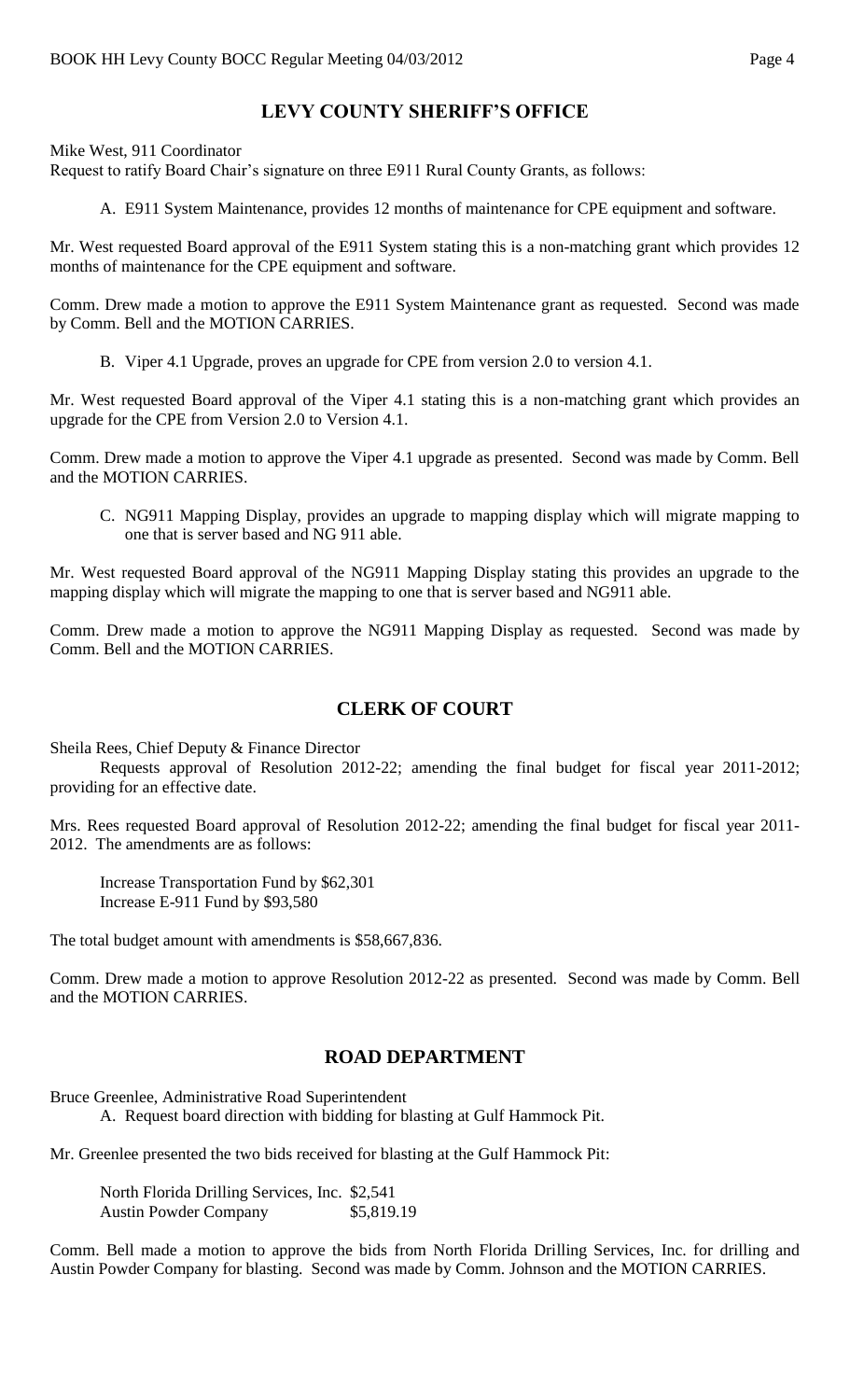# **LEVY COUNTY SHERIFF'S OFFICE**

Mike West, 911 Coordinator

Request to ratify Board Chair's signature on three E911 Rural County Grants, as follows:

A. E911 System Maintenance, provides 12 months of maintenance for CPE equipment and software.

Mr. West requested Board approval of the E911 System stating this is a non-matching grant which provides 12 months of maintenance for the CPE equipment and software.

Comm. Drew made a motion to approve the E911 System Maintenance grant as requested. Second was made by Comm. Bell and the MOTION CARRIES.

B. Viper 4.1 Upgrade, proves an upgrade for CPE from version 2.0 to version 4.1.

Mr. West requested Board approval of the Viper 4.1 stating this is a non-matching grant which provides an upgrade for the CPE from Version 2.0 to Version 4.1.

Comm. Drew made a motion to approve the Viper 4.1 upgrade as presented. Second was made by Comm. Bell and the MOTION CARRIES.

C. NG911 Mapping Display, provides an upgrade to mapping display which will migrate mapping to one that is server based and NG 911 able.

Mr. West requested Board approval of the NG911 Mapping Display stating this provides an upgrade to the mapping display which will migrate the mapping to one that is server based and NG911 able.

Comm. Drew made a motion to approve the NG911 Mapping Display as requested. Second was made by Comm. Bell and the MOTION CARRIES.

# **CLERK OF COURT**

Sheila Rees, Chief Deputy & Finance Director

Requests approval of Resolution 2012-22; amending the final budget for fiscal year 2011-2012; providing for an effective date.

Mrs. Rees requested Board approval of Resolution 2012-22; amending the final budget for fiscal year 2011- 2012. The amendments are as follows:

Increase Transportation Fund by \$62,301 Increase E-911 Fund by \$93,580

The total budget amount with amendments is \$58,667,836.

Comm. Drew made a motion to approve Resolution 2012-22 as presented. Second was made by Comm. Bell and the MOTION CARRIES.

## **ROAD DEPARTMENT**

Bruce Greenlee, Administrative Road Superintendent

A. Request board direction with bidding for blasting at Gulf Hammock Pit.

Mr. Greenlee presented the two bids received for blasting at the Gulf Hammock Pit:

North Florida Drilling Services, Inc. \$2,541 Austin Powder Company \$5,819.19

Comm. Bell made a motion to approve the bids from North Florida Drilling Services, Inc. for drilling and Austin Powder Company for blasting. Second was made by Comm. Johnson and the MOTION CARRIES.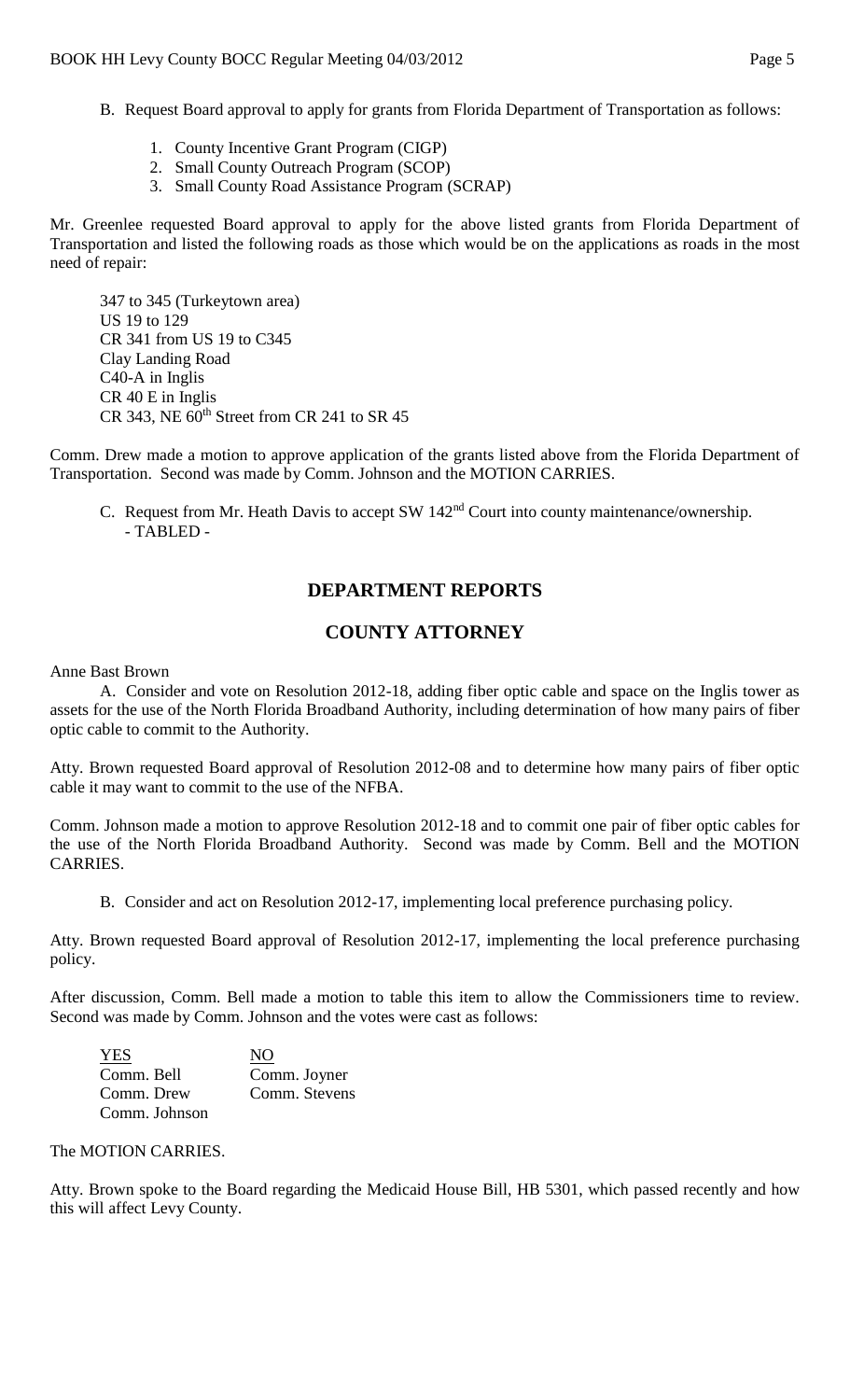- B. Request Board approval to apply for grants from Florida Department of Transportation as follows:
	- 1. County Incentive Grant Program (CIGP)
	- 2. Small County Outreach Program (SCOP)
	- 3. Small County Road Assistance Program (SCRAP)

Mr. Greenlee requested Board approval to apply for the above listed grants from Florida Department of Transportation and listed the following roads as those which would be on the applications as roads in the most need of repair:

347 to 345 (Turkeytown area) US 19 to 129 CR 341 from US 19 to C345 Clay Landing Road C40-A in Inglis CR 40 E in Inglis CR 343, NE  $60<sup>th</sup>$  Street from CR 241 to SR 45

Comm. Drew made a motion to approve application of the grants listed above from the Florida Department of Transportation. Second was made by Comm. Johnson and the MOTION CARRIES.

C. Request from Mr. Heath Davis to accept SW 142nd Court into county maintenance/ownership. - TABLED -

## **DEPARTMENT REPORTS**

## **COUNTY ATTORNEY**

Anne Bast Brown

A. Consider and vote on Resolution 2012-18, adding fiber optic cable and space on the Inglis tower as assets for the use of the North Florida Broadband Authority, including determination of how many pairs of fiber optic cable to commit to the Authority.

Atty. Brown requested Board approval of Resolution 2012-08 and to determine how many pairs of fiber optic cable it may want to commit to the use of the NFBA.

Comm. Johnson made a motion to approve Resolution 2012-18 and to commit one pair of fiber optic cables for the use of the North Florida Broadband Authority. Second was made by Comm. Bell and the MOTION CARRIES.

B. Consider and act on Resolution 2012-17, implementing local preference purchasing policy.

Atty. Brown requested Board approval of Resolution 2012-17, implementing the local preference purchasing policy.

After discussion, Comm. Bell made a motion to table this item to allow the Commissioners time to review. Second was made by Comm. Johnson and the votes were cast as follows:

| <b>YES</b>    | NO            |
|---------------|---------------|
| Comm. Bell    | Comm. Joyner  |
| Comm. Drew    | Comm. Stevens |
| Comm. Johnson |               |

#### The MOTION CARRIES.

Atty. Brown spoke to the Board regarding the Medicaid House Bill, HB 5301, which passed recently and how this will affect Levy County.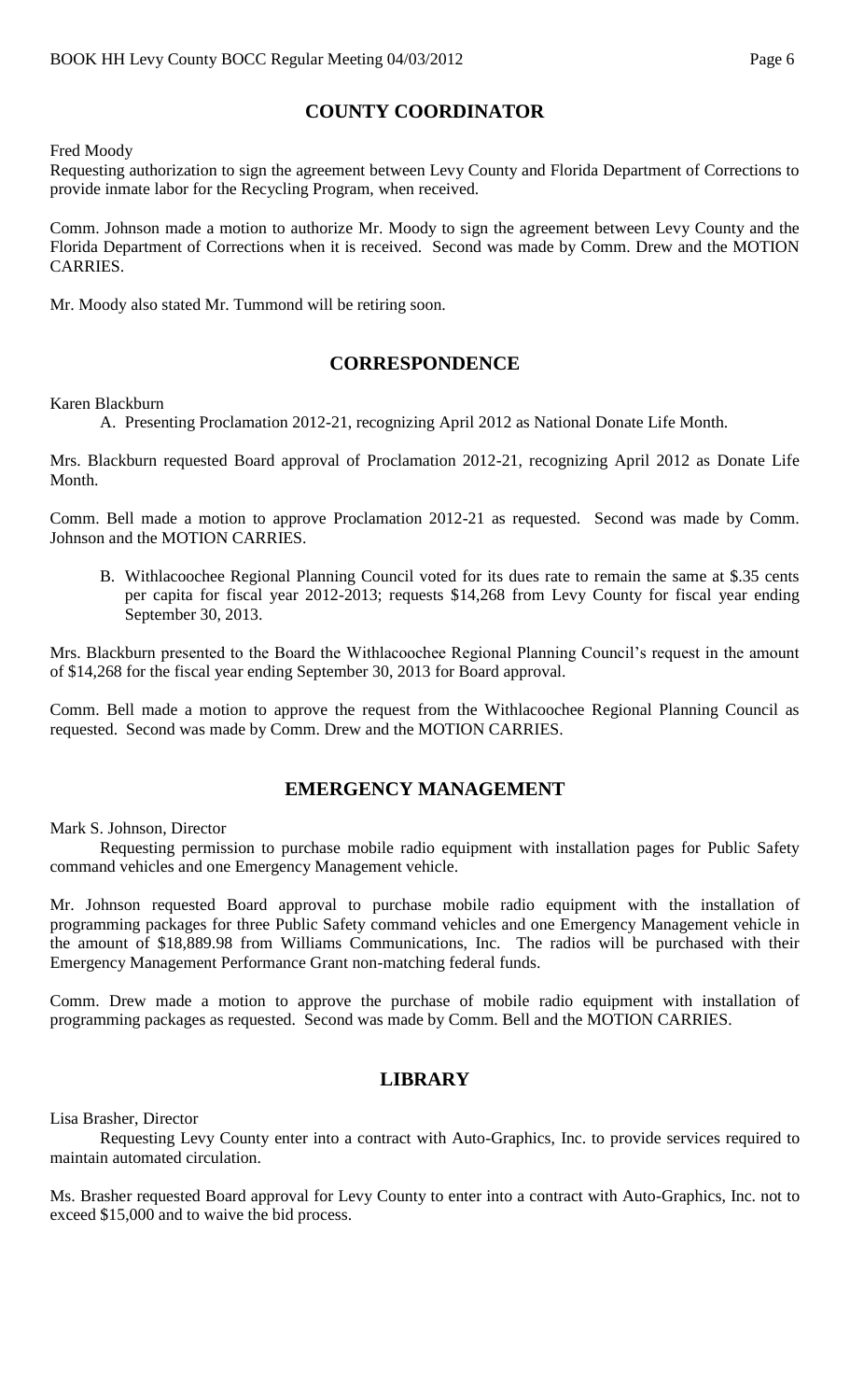# **COUNTY COORDINATOR**

Fred Moody

Requesting authorization to sign the agreement between Levy County and Florida Department of Corrections to provide inmate labor for the Recycling Program, when received.

Comm. Johnson made a motion to authorize Mr. Moody to sign the agreement between Levy County and the Florida Department of Corrections when it is received. Second was made by Comm. Drew and the MOTION CARRIES.

Mr. Moody also stated Mr. Tummond will be retiring soon.

#### **CORRESPONDENCE**

Karen Blackburn

A. Presenting Proclamation 2012-21, recognizing April 2012 as National Donate Life Month.

Mrs. Blackburn requested Board approval of Proclamation 2012-21, recognizing April 2012 as Donate Life Month.

Comm. Bell made a motion to approve Proclamation 2012-21 as requested. Second was made by Comm. Johnson and the MOTION CARRIES.

B. Withlacoochee Regional Planning Council voted for its dues rate to remain the same at \$.35 cents per capita for fiscal year 2012-2013; requests \$14,268 from Levy County for fiscal year ending September 30, 2013.

Mrs. Blackburn presented to the Board the Withlacoochee Regional Planning Council's request in the amount of \$14,268 for the fiscal year ending September 30, 2013 for Board approval.

Comm. Bell made a motion to approve the request from the Withlacoochee Regional Planning Council as requested. Second was made by Comm. Drew and the MOTION CARRIES.

#### **EMERGENCY MANAGEMENT**

Mark S. Johnson, Director

Requesting permission to purchase mobile radio equipment with installation pages for Public Safety command vehicles and one Emergency Management vehicle.

Mr. Johnson requested Board approval to purchase mobile radio equipment with the installation of programming packages for three Public Safety command vehicles and one Emergency Management vehicle in the amount of \$18,889.98 from Williams Communications, Inc. The radios will be purchased with their Emergency Management Performance Grant non-matching federal funds.

Comm. Drew made a motion to approve the purchase of mobile radio equipment with installation of programming packages as requested. Second was made by Comm. Bell and the MOTION CARRIES.

## **LIBRARY**

Lisa Brasher, Director

Requesting Levy County enter into a contract with Auto-Graphics, Inc. to provide services required to maintain automated circulation.

Ms. Brasher requested Board approval for Levy County to enter into a contract with Auto-Graphics, Inc. not to exceed \$15,000 and to waive the bid process.